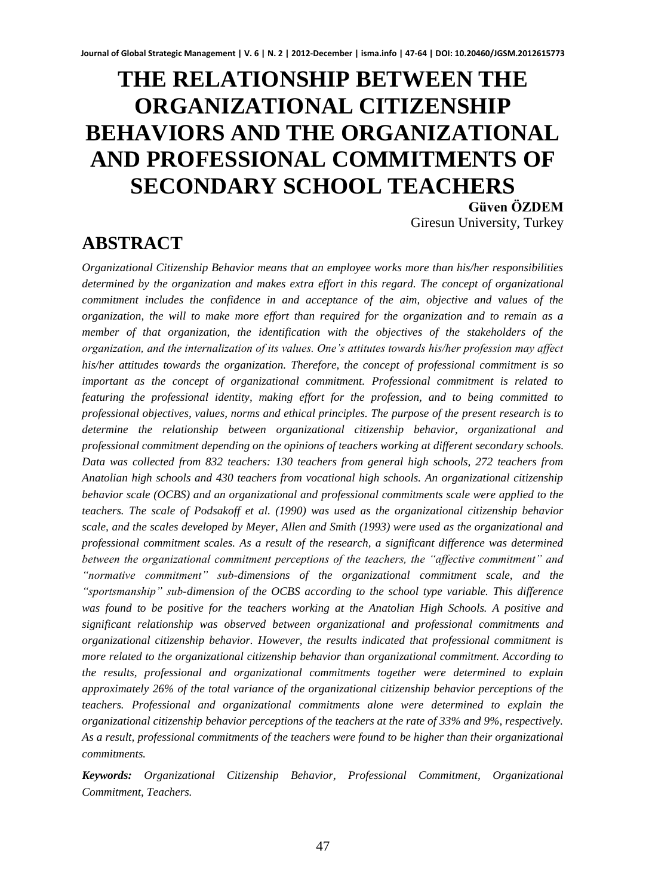# **THE RELATIONSHIP BETWEEN THE ORGANIZATIONAL CITIZENSHIP BEHAVIORS AND THE ORGANIZATIONAL AND PROFESSIONAL COMMITMENTS OF SECONDARY SCHOOL TEACHERS**

 **Güven ÖZDEM** Giresun University, Turkey

## **ABSTRACT**

*Organizational Citizenship Behavior means that an employee works more than his/her responsibilities determined by the organization and makes extra effort in this regard. The concept of organizational commitment includes the confidence in and acceptance of the aim, objective and values of the organization, the will to make more effort than required for the organization and to remain as a member of that organization, the identification with the objectives of the stakeholders of the organization, and the internalization of its values. One's attitutes towards his/her profession may affect his/her attitudes towards the organization. Therefore, the concept of professional commitment is so important as the concept of organizational commitment. Professional commitment is related to featuring the professional identity, making effort for the profession, and to being committed to professional objectives, values, norms and ethical principles. The purpose of the present research is to determine the relationship between organizational citizenship behavior, organizational and professional commitment depending on the opinions of teachers working at different secondary schools. Data was collected from 832 teachers: 130 teachers from general high schools, 272 teachers from Anatolian high schools and 430 teachers from vocational high schools. An organizational citizenship behavior scale (OCBS) and an organizational and professional commitments scale were applied to the teachers. The scale of Podsakoff et al. (1990) was used as the organizational citizenship behavior scale, and the scales developed by Meyer, Allen and Smith (1993) were used as the organizational and professional commitment scales. As a result of the research, a significant difference was determined between the organizational commitment perceptions of the teachers, the "affective commitment" and "normative commitment" sub-dimensions of the organizational commitment scale, and the "sportsmanship" sub-dimension of the OCBS according to the school type variable. This difference was found to be positive for the teachers working at the Anatolian High Schools. A positive and significant relationship was observed between organizational and professional commitments and organizational citizenship behavior. However, the results indicated that professional commitment is more related to the organizational citizenship behavior than organizational commitment. According to the results, professional and organizational commitments together were determined to explain approximately 26% of the total variance of the organizational citizenship behavior perceptions of the teachers. Professional and organizational commitments alone were determined to explain the organizational citizenship behavior perceptions of the teachers at the rate of 33% and 9%, respectively. As a result, professional commitments of the teachers were found to be higher than their organizational commitments.* 

*Keywords: Organizational Citizenship Behavior, Professional Commitment, Organizational Commitment, Teachers.*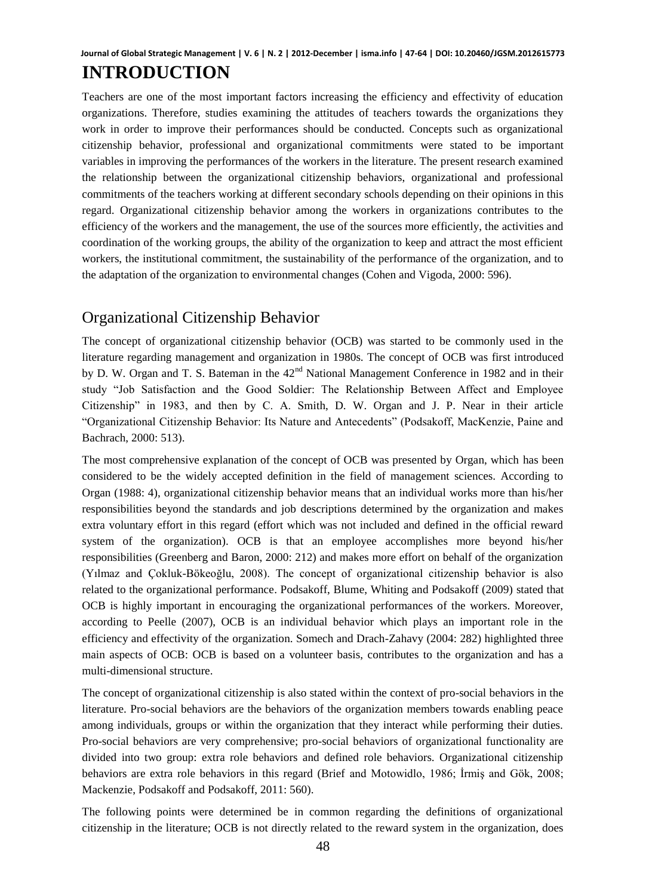## **INTRODUCTION**

Teachers are one of the most important factors increasing the efficiency and effectivity of education organizations. Therefore, studies examining the attitudes of teachers towards the organizations they work in order to improve their performances should be conducted. Concepts such as organizational citizenship behavior, professional and organizational commitments were stated to be important variables in improving the performances of the workers in the literature. The present research examined the relationship between the organizational citizenship behaviors, organizational and professional commitments of the teachers working at different secondary schools depending on their opinions in this regard. Organizational citizenship behavior among the workers in organizations contributes to the efficiency of the workers and the management, the use of the sources more efficiently, the activities and coordination of the working groups, the ability of the organization to keep and attract the most efficient workers, the institutional commitment, the sustainability of the performance of the organization, and to the adaptation of the organization to environmental changes (Cohen and Vigoda, 2000: 596).

## Organizational Citizenship Behavior

The concept of organizational citizenship behavior (OCB) was started to be commonly used in the literature regarding management and organization in 1980s. The concept of OCB was first introduced by D. W. Organ and T. S. Bateman in the  $42<sup>nd</sup>$  National Management Conference in 1982 and in their study "Job Satisfaction and the Good Soldier: The Relationship Between Affect and Employee Citizenship" in 1983, and then by C. A. Smith, D. W. Organ and J. P. Near in their article "Organizational Citizenship Behavior: Its Nature and Antecedents" (Podsakoff, MacKenzie, Paine and Bachrach, 2000: 513).

The most comprehensive explanation of the concept of OCB was presented by Organ, which has been considered to be the widely accepted definition in the field of management sciences. According to Organ (1988: 4), organizational citizenship behavior means that an individual works more than his/her responsibilities beyond the standards and job descriptions determined by the organization and makes extra voluntary effort in this regard (effort which was not included and defined in the official reward system of the organization). OCB is that an employee accomplishes more beyond his/her responsibilities (Greenberg and Baron, 2000: 212) and makes more effort on behalf of the organization (Yılmaz and Çokluk-Bökeoğlu, 2008). The concept of organizational citizenship behavior is also related to the organizational performance. Podsakoff, Blume, Whiting and Podsakoff (2009) stated that OCB is highly important in encouraging the organizational performances of the workers. Moreover, according to Peelle (2007), OCB is an individual behavior which plays an important role in the efficiency and effectivity of the organization. Somech and Drach-Zahavy (2004: 282) highlighted three main aspects of OCB: OCB is based on a volunteer basis, contributes to the organization and has a multi-dimensional structure.

The concept of organizational citizenship is also stated within the context of pro-social behaviors in the literature. Pro-social behaviors are the behaviors of the organization members towards enabling peace among individuals, groups or within the organization that they interact while performing their duties. Pro-social behaviors are very comprehensive; pro-social behaviors of organizational functionality are divided into two group: extra role behaviors and defined role behaviors. Organizational citizenship behaviors are extra role behaviors in this regard (Brief and Motowidlo, 1986; İrmiş and Gök, 2008; Mackenzie, Podsakoff and Podsakoff, 2011: 560).

The following points were determined be in common regarding the definitions of organizational citizenship in the literature; OCB is not directly related to the reward system in the organization, does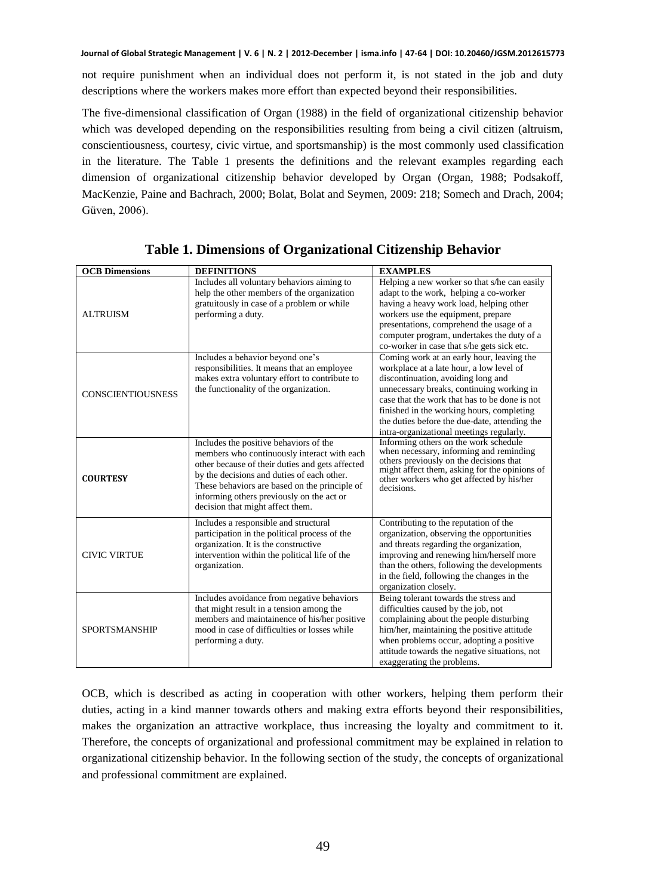not require punishment when an individual does not perform it, is not stated in the job and duty descriptions where the workers makes more effort than expected beyond their responsibilities.

The five-dimensional classification of Organ (1988) in the field of organizational citizenship behavior which was developed depending on the responsibilities resulting from being a civil citizen (altruism, conscientiousness, courtesy, civic virtue, and sportsmanship) is the most commonly used classification in the literature. The Table 1 presents the definitions and the relevant examples regarding each dimension of organizational citizenship behavior developed by Organ (Organ, 1988; Podsakoff, MacKenzie, Paine and Bachrach, 2000; Bolat, Bolat and Seymen, 2009: 218; Somech and Drach, 2004; Güven, 2006).

| <b>OCB Dimensions</b>    | <b>DEFINITIONS</b>                                                                                                                                                                                                                                                                                                       | <b>EXAMPLES</b>                                                                                                                                                                                                                                                                                                                                                     |
|--------------------------|--------------------------------------------------------------------------------------------------------------------------------------------------------------------------------------------------------------------------------------------------------------------------------------------------------------------------|---------------------------------------------------------------------------------------------------------------------------------------------------------------------------------------------------------------------------------------------------------------------------------------------------------------------------------------------------------------------|
| <b>ALTRUISM</b>          | Includes all voluntary behaviors aiming to<br>help the other members of the organization<br>gratuitously in case of a problem or while<br>performing a duty.                                                                                                                                                             | Helping a new worker so that s/he can easily<br>adapt to the work, helping a co-worker<br>having a heavy work load, helping other<br>workers use the equipment, prepare<br>presentations, comprehend the usage of a<br>computer program, undertakes the duty of a<br>co-worker in case that s/he gets sick etc.                                                     |
| <b>CONSCIENTIOUSNESS</b> | Includes a behavior beyond one's<br>responsibilities. It means that an employee<br>makes extra voluntary effort to contribute to<br>the functionality of the organization.                                                                                                                                               | Coming work at an early hour, leaving the<br>workplace at a late hour, a low level of<br>discontinuation, avoiding long and<br>unnecessary breaks, continuing working in<br>case that the work that has to be done is not<br>finished in the working hours, completing<br>the duties before the due-date, attending the<br>intra-organizational meetings regularly. |
| <b>COURTESY</b>          | Includes the positive behaviors of the<br>members who continuously interact with each<br>other because of their duties and gets affected<br>by the decisions and duties of each other.<br>These behaviors are based on the principle of<br>informing others previously on the act or<br>decision that might affect them. | Informing others on the work schedule<br>when necessary, informing and reminding<br>others previously on the decisions that<br>might affect them, asking for the opinions of<br>other workers who get affected by his/her<br>decisions.                                                                                                                             |
| <b>CIVIC VIRTUE</b>      | Includes a responsible and structural<br>participation in the political process of the<br>organization. It is the constructive<br>intervention within the political life of the<br>organization.                                                                                                                         | Contributing to the reputation of the<br>organization, observing the opportunities<br>and threats regarding the organization,<br>improving and renewing him/herself more<br>than the others, following the developments<br>in the field, following the changes in the<br>organization closely.                                                                      |
| <b>SPORTSMANSHIP</b>     | Includes avoidance from negative behaviors<br>that might result in a tension among the<br>members and maintainence of his/her positive<br>mood in case of difficulties or losses while<br>performing a duty.                                                                                                             | Being tolerant towards the stress and<br>difficulties caused by the job, not<br>complaining about the people disturbing<br>him/her, maintaining the positive attitude<br>when problems occur, adopting a positive<br>attitude towards the negative situations, not<br>exaggerating the problems.                                                                    |

**Table 1. Dimensions of Organizational Citizenship Behavior** 

OCB, which is described as acting in cooperation with other workers, helping them perform their duties, acting in a kind manner towards others and making extra efforts beyond their responsibilities, makes the organization an attractive workplace, thus increasing the loyalty and commitment to it. Therefore, the concepts of organizational and professional commitment may be explained in relation to organizational citizenship behavior. In the following section of the study, the concepts of organizational and professional commitment are explained.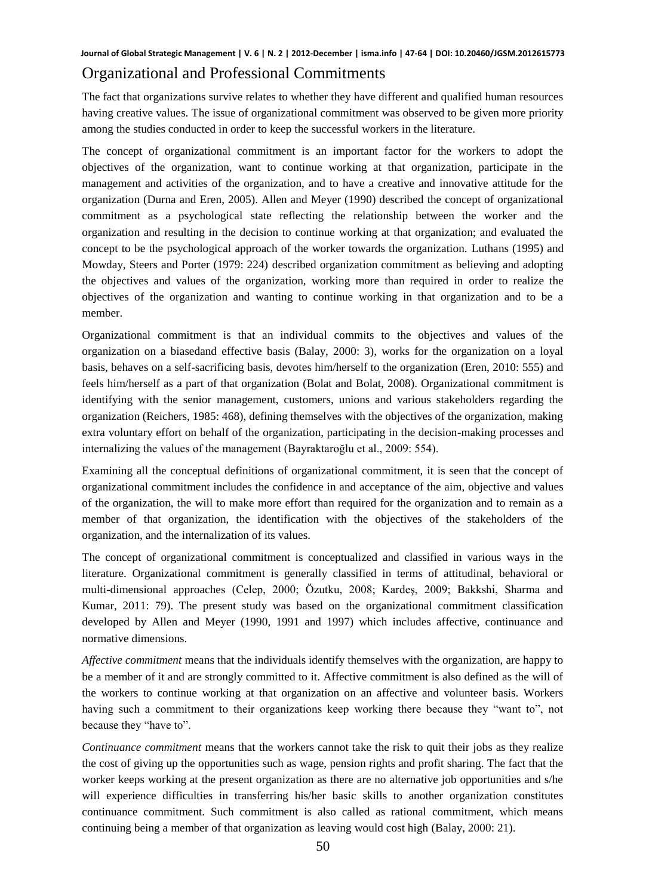### Organizational and Professional Commitments

The fact that organizations survive relates to whether they have different and qualified human resources having creative values. The issue of organizational commitment was observed to be given more priority among the studies conducted in order to keep the successful workers in the literature.

The concept of organizational commitment is an important factor for the workers to adopt the objectives of the organization, want to continue working at that organization, participate in the management and activities of the organization, and to have a creative and innovative attitude for the organization (Durna and Eren, 2005). Allen and Meyer (1990) described the concept of organizational commitment as a psychological state reflecting the relationship between the worker and the organization and resulting in the decision to continue working at that organization; and evaluated the concept to be the psychological approach of the worker towards the organization. Luthans (1995) and Mowday, Steers and Porter (1979: 224) described organization commitment as believing and adopting the objectives and values of the organization, working more than required in order to realize the objectives of the organization and wanting to continue working in that organization and to be a member.

Organizational commitment is that an individual commits to the objectives and values of the organization on a biasedand effective basis (Balay, 2000: 3), works for the organization on a loyal basis, behaves on a self-sacrificing basis, devotes him/herself to the organization (Eren, 2010: 555) and feels him/herself as a part of that organization (Bolat and Bolat, 2008). Organizational commitment is identifying with the senior management, customers, unions and various stakeholders regarding the organization (Reichers, 1985: 468), defining themselves with the objectives of the organization, making extra voluntary effort on behalf of the organization, participating in the decision-making processes and internalizing the values of the management (Bayraktaroğlu et al., 2009: 554).

Examining all the conceptual definitions of organizational commitment, it is seen that the concept of organizational commitment includes the confidence in and acceptance of the aim, objective and values of the organization, the will to make more effort than required for the organization and to remain as a member of that organization, the identification with the objectives of the stakeholders of the organization, and the internalization of its values.

The concept of organizational commitment is conceptualized and classified in various ways in the literature. Organizational commitment is generally classified in terms of attitudinal, behavioral or multi-dimensional approaches (Celep, 2000; Özutku, 2008; Kardeş, 2009; Bakkshi, Sharma and Kumar, 2011: 79). The present study was based on the organizational commitment classification developed by Allen and Meyer (1990, 1991 and 1997) which includes affective, continuance and normative dimensions.

*Affective commitment* means that the individuals identify themselves with the organization, are happy to be a member of it and are strongly committed to it. Affective commitment is also defined as the will of the workers to continue working at that organization on an affective and volunteer basis. Workers having such a commitment to their organizations keep working there because they "want to", not because they "have to".

*Continuance commitment* means that the workers cannot take the risk to quit their jobs as they realize the cost of giving up the opportunities such as wage, pension rights and profit sharing. The fact that the worker keeps working at the present organization as there are no alternative job opportunities and s/he will experience difficulties in transferring his/her basic skills to another organization constitutes continuance commitment. Such commitment is also called as rational commitment, which means continuing being a member of that organization as leaving would cost high (Balay, 2000: 21).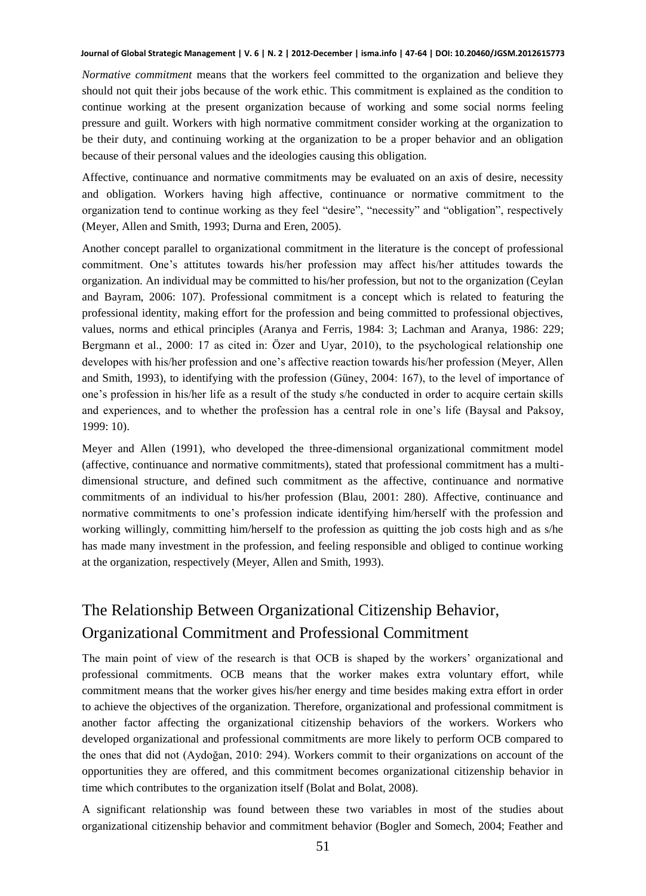*Normative commitment* means that the workers feel committed to the organization and believe they should not quit their jobs because of the work ethic. This commitment is explained as the condition to continue working at the present organization because of working and some social norms feeling pressure and guilt. Workers with high normative commitment consider working at the organization to be their duty, and continuing working at the organization to be a proper behavior and an obligation because of their personal values and the ideologies causing this obligation.

Affective, continuance and normative commitments may be evaluated on an axis of desire, necessity and obligation. Workers having high affective, continuance or normative commitment to the organization tend to continue working as they feel "desire", "necessity" and "obligation", respectively (Meyer, Allen and Smith, 1993; Durna and Eren, 2005).

Another concept parallel to organizational commitment in the literature is the concept of professional commitment. One's attitutes towards his/her profession may affect his/her attitudes towards the organization. An individual may be committed to his/her profession, but not to the organization (Ceylan and Bayram, 2006: 107). Professional commitment is a concept which is related to featuring the professional identity, making effort for the profession and being committed to professional objectives, values, norms and ethical principles (Aranya and Ferris, 1984: 3; Lachman and Aranya, 1986: 229; Bergmann et al., 2000: 17 as cited in: Özer and Uyar, 2010), to the psychological relationship one developes with his/her profession and one's affective reaction towards his/her profession (Meyer, Allen and Smith, 1993), to identifying with the profession (Güney, 2004: 167), to the level of importance of one's profession in his/her life as a result of the study s/he conducted in order to acquire certain skills and experiences, and to whether the profession has a central role in one's life (Baysal and Paksoy, 1999: 10).

Meyer and Allen (1991), who developed the three-dimensional organizational commitment model (affective, continuance and normative commitments), stated that professional commitment has a multidimensional structure, and defined such commitment as the affective, continuance and normative commitments of an individual to his/her profession (Blau, 2001: 280). Affective, continuance and normative commitments to one's profession indicate identifying him/herself with the profession and working willingly, committing him/herself to the profession as quitting the job costs high and as s/he has made many investment in the profession, and feeling responsible and obliged to continue working at the organization, respectively (Meyer, Allen and Smith, 1993).

## The Relationship Between Organizational Citizenship Behavior, Organizational Commitment and Professional Commitment

The main point of view of the research is that OCB is shaped by the workers' organizational and professional commitments. OCB means that the worker makes extra voluntary effort, while commitment means that the worker gives his/her energy and time besides making extra effort in order to achieve the objectives of the organization. Therefore, organizational and professional commitment is another factor affecting the organizational citizenship behaviors of the workers. Workers who developed organizational and professional commitments are more likely to perform OCB compared to the ones that did not (Aydoğan, 2010: 294). Workers commit to their organizations on account of the opportunities they are offered, and this commitment becomes organizational citizenship behavior in time which contributes to the organization itself (Bolat and Bolat, 2008).

A significant relationship was found between these two variables in most of the studies about organizational citizenship behavior and commitment behavior (Bogler and Somech, 2004; Feather and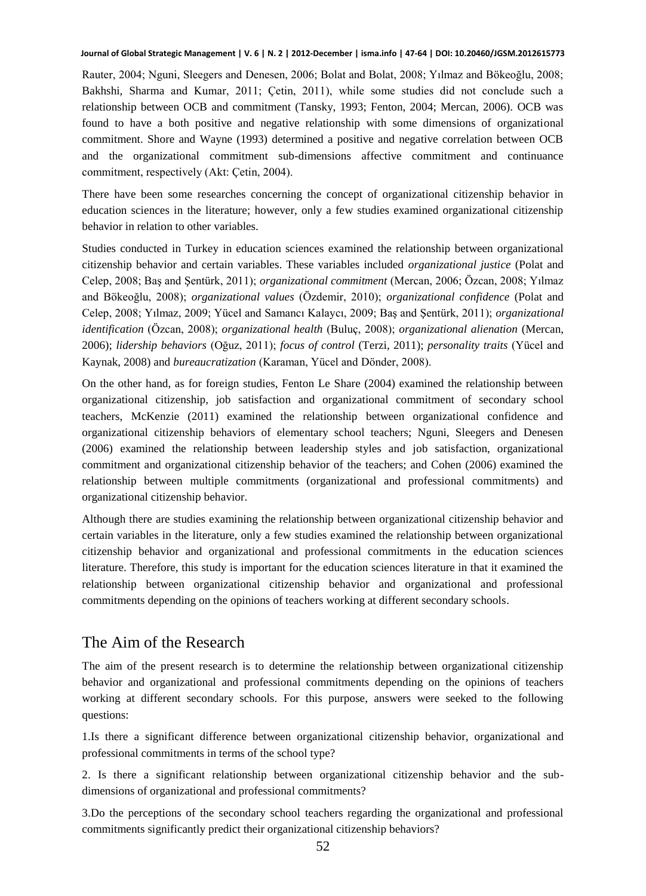Rauter, 2004; Nguni, Sleegers and Denesen, 2006; Bolat and Bolat, 2008; Yılmaz and Bökeoğlu, 2008; Bakhshi, Sharma and Kumar, 2011; Çetin, 2011), while some studies did not conclude such a relationship between OCB and commitment (Tansky, 1993; Fenton, 2004; Mercan, 2006). OCB was found to have a both positive and negative relationship with some dimensions of organizational commitment. Shore and Wayne (1993) determined a positive and negative correlation between OCB and the organizational commitment sub-dimensions affective commitment and continuance commitment, respectively (Akt: Çetin, 2004).

There have been some researches concerning the concept of organizational citizenship behavior in education sciences in the literature; however, only a few studies examined organizational citizenship behavior in relation to other variables.

Studies conducted in Turkey in education sciences examined the relationship between organizational citizenship behavior and certain variables. These variables included *organizational justice* (Polat and Celep, 2008; Baş and Şentürk, 2011); *organizational commitment* (Mercan, 2006; Özcan, 2008; Yılmaz and Bökeoğlu, 2008); *organizational values* (Özdemir, 2010); *organizational confidence* (Polat and Celep, 2008; Yılmaz, 2009; Yücel and Samancı Kalaycı, 2009; Baş and Şentürk, 2011); *organizational identification* (Özcan, 2008); *organizational health* (Buluç, 2008); *organizational alienation* (Mercan, 2006); *lidership behaviors* (Oğuz, 2011); *focus of control* (Terzi, 2011); *personality traits* (Yücel and Kaynak, 2008) and *bureaucratization* (Karaman, Yücel and Dönder, 2008).

On the other hand, as for foreign studies, Fenton Le Share (2004) examined the relationship between organizational citizenship, job satisfaction and organizational commitment of secondary school teachers, McKenzie (2011) examined the relationship between organizational confidence and organizational citizenship behaviors of elementary school teachers; Nguni, Sleegers and Denesen (2006) examined the relationship between leadership styles and job satisfaction, organizational commitment and organizational citizenship behavior of the teachers; and Cohen (2006) examined the relationship between multiple commitments (organizational and professional commitments) and organizational citizenship behavior.

Although there are studies examining the relationship between organizational citizenship behavior and certain variables in the literature, only a few studies examined the relationship between organizational citizenship behavior and organizational and professional commitments in the education sciences literature. Therefore, this study is important for the education sciences literature in that it examined the relationship between organizational citizenship behavior and organizational and professional commitments depending on the opinions of teachers working at different secondary schools.

## The Aim of the Research

The aim of the present research is to determine the relationship between organizational citizenship behavior and organizational and professional commitments depending on the opinions of teachers working at different secondary schools. For this purpose, answers were seeked to the following questions:

1.Is there a significant difference between organizational citizenship behavior, organizational and professional commitments in terms of the school type?

2. Is there a significant relationship between organizational citizenship behavior and the subdimensions of organizational and professional commitments?

3.Do the perceptions of the secondary school teachers regarding the organizational and professional commitments significantly predict their organizational citizenship behaviors?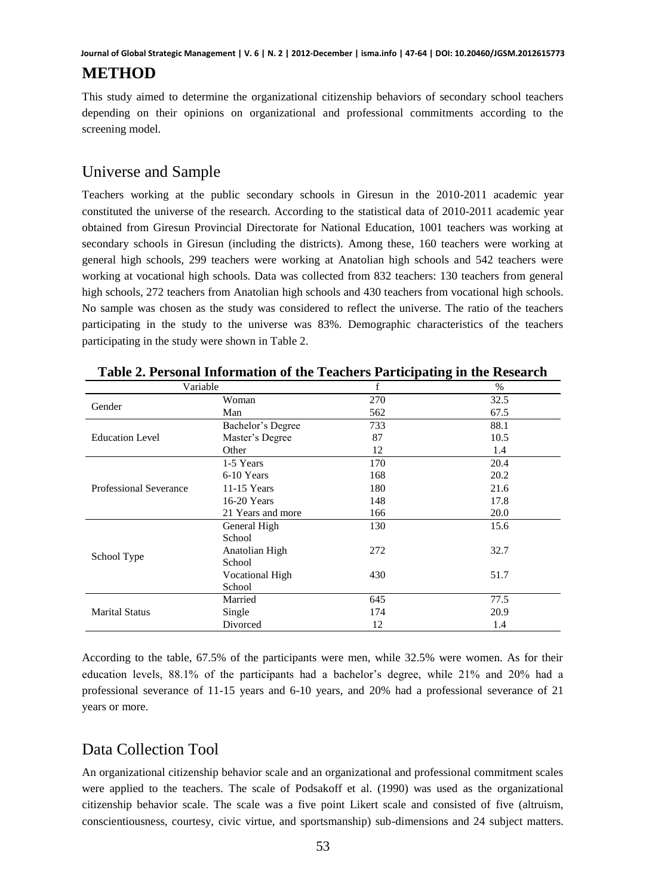## **METHOD**

This study aimed to determine the organizational citizenship behaviors of secondary school teachers depending on their opinions on organizational and professional commitments according to the screening model.

### Universe and Sample

Teachers working at the public secondary schools in Giresun in the 2010-2011 academic year constituted the universe of the research. According to the statistical data of 2010-2011 academic year obtained from Giresun Provincial Directorate for National Education, 1001 teachers was working at secondary schools in Giresun (including the districts). Among these, 160 teachers were working at general high schools, 299 teachers were working at Anatolian high schools and 542 teachers were working at vocational high schools. Data was collected from 832 teachers: 130 teachers from general high schools, 272 teachers from Anatolian high schools and 430 teachers from vocational high schools. No sample was chosen as the study was considered to reflect the universe. The ratio of the teachers participating in the study to the universe was 83%. Demographic characteristics of the teachers participating in the study were shown in Table 2.

| Variable               |                   | f   | $\%$ |
|------------------------|-------------------|-----|------|
| Gender                 | Woman             | 270 | 32.5 |
|                        | Man               | 562 | 67.5 |
|                        | Bachelor's Degree | 733 | 88.1 |
| <b>Education Level</b> | Master's Degree   | 87  | 10.5 |
|                        | Other             | 12  | 1.4  |
|                        | 1-5 Years         | 170 | 20.4 |
|                        | 6-10 Years        | 168 | 20.2 |
| Professional Severance | $11-15$ Years     | 180 | 21.6 |
|                        | 16-20 Years       | 148 | 17.8 |
|                        | 21 Years and more | 166 | 20.0 |
|                        | General High      | 130 | 15.6 |
|                        | School            |     |      |
|                        | Anatolian High    | 272 | 32.7 |
| School Type            | School            |     |      |
|                        | Vocational High   | 430 | 51.7 |
|                        | School            |     |      |
|                        | Married           | 645 | 77.5 |
| <b>Marital Status</b>  | Single            | 174 | 20.9 |
|                        | Divorced          | 12  | 1.4  |

**Table 2. Personal Information of the Teachers Participating in the Research** 

According to the table, 67.5% of the participants were men, while 32.5% were women. As for their education levels, 88.1% of the participants had a bachelor's degree, while 21% and 20% had a professional severance of 11-15 years and 6-10 years, and 20% had a professional severance of 21 years or more.

## Data Collection Tool

An organizational citizenship behavior scale and an organizational and professional commitment scales were applied to the teachers. The scale of Podsakoff et al. (1990) was used as the organizational citizenship behavior scale. The scale was a five point Likert scale and consisted of five (altruism, conscientiousness, courtesy, civic virtue, and sportsmanship) sub-dimensions and 24 subject matters.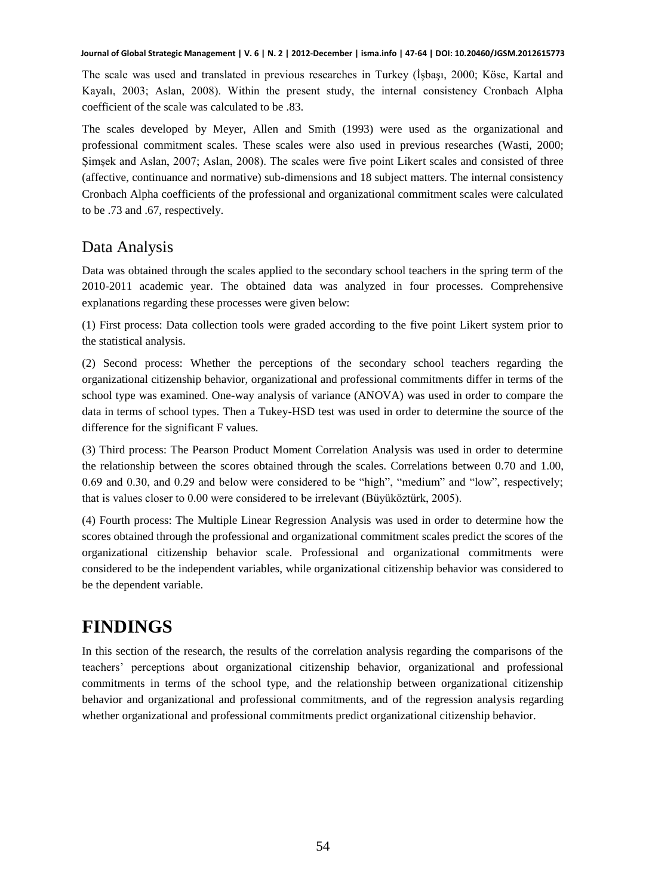The scale was used and translated in previous researches in Turkey (İşbaşı, 2000; Köse, Kartal and Kayalı, 2003; Aslan, 2008). Within the present study, the internal consistency Cronbach Alpha coefficient of the scale was calculated to be .83.

The scales developed by Meyer, Allen and Smith (1993) were used as the organizational and professional commitment scales. These scales were also used in previous researches (Wasti, 2000; Şimşek and Aslan, 2007; Aslan, 2008). The scales were five point Likert scales and consisted of three (affective, continuance and normative) sub-dimensions and 18 subject matters. The internal consistency Cronbach Alpha coefficients of the professional and organizational commitment scales were calculated to be .73 and .67, respectively.

## Data Analysis

Data was obtained through the scales applied to the secondary school teachers in the spring term of the 2010-2011 academic year. The obtained data was analyzed in four processes. Comprehensive explanations regarding these processes were given below:

(1) First process: Data collection tools were graded according to the five point Likert system prior to the statistical analysis.

(2) Second process: Whether the perceptions of the secondary school teachers regarding the organizational citizenship behavior, organizational and professional commitments differ in terms of the school type was examined. One-way analysis of variance (ANOVA) was used in order to compare the data in terms of school types. Then a Tukey-HSD test was used in order to determine the source of the difference for the significant F values.

(3) Third process: The Pearson Product Moment Correlation Analysis was used in order to determine the relationship between the scores obtained through the scales. Correlations between 0.70 and 1.00, 0.69 and 0.30, and 0.29 and below were considered to be "high", "medium" and "low", respectively; that is values closer to 0.00 were considered to be irrelevant (Büyüköztürk, 2005).

(4) Fourth process: The Multiple Linear Regression Analysis was used in order to determine how the scores obtained through the professional and organizational commitment scales predict the scores of the organizational citizenship behavior scale. Professional and organizational commitments were considered to be the independent variables, while organizational citizenship behavior was considered to be the dependent variable.

## **FINDINGS**

In this section of the research, the results of the correlation analysis regarding the comparisons of the teachers' perceptions about organizational citizenship behavior, organizational and professional commitments in terms of the school type, and the relationship between organizational citizenship behavior and organizational and professional commitments, and of the regression analysis regarding whether organizational and professional commitments predict organizational citizenship behavior.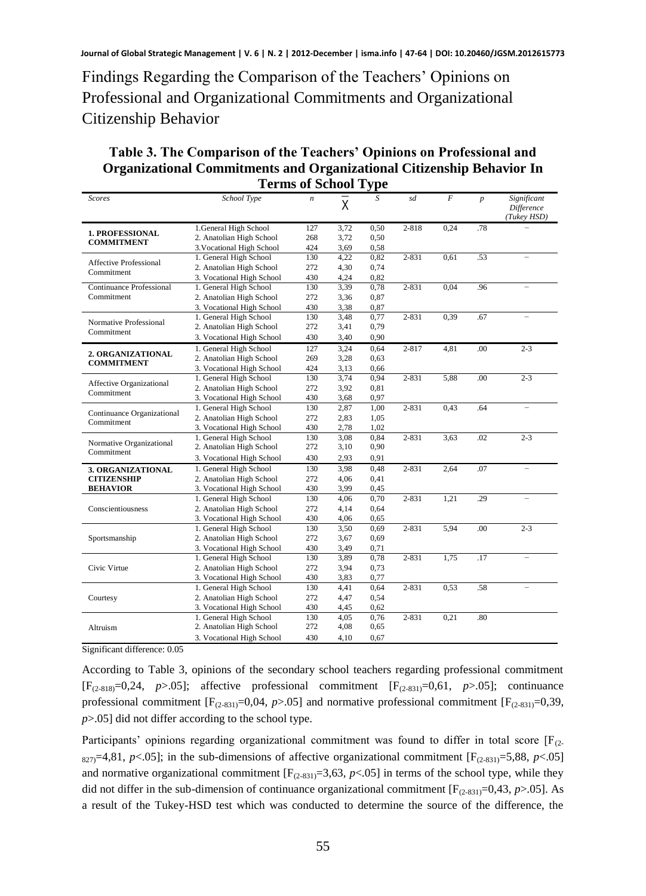Findings Regarding the Comparison of the Teachers' Opinions on Professional and Organizational Commitments and Organizational Citizenship Behavior

### **Table 3. The Comparison of the Teachers' Opinions on Professional and Organizational Commitments and Organizational Citizenship Behavior In Terms of School Type**

| тегшэ ог эсноог турс                     |                           |     |      |      |           |      |                  |                                          |
|------------------------------------------|---------------------------|-----|------|------|-----------|------|------------------|------------------------------------------|
| <b>Scores</b>                            | School Type               | n   | X    | S    | sd        | F    | $\boldsymbol{p}$ | Significant<br>Difference<br>(Tukey HSD) |
| <b>1. PROFESSIONAL</b>                   | 1.General High School     | 127 | 3,72 | 0,50 | 2-818     | 0.24 | .78              |                                          |
|                                          | 2. Anatolian High School  | 268 | 3,72 | 0,50 |           |      |                  |                                          |
| <b>COMMITMENT</b>                        | 3. Vocational High School | 424 | 3,69 | 0,58 |           |      |                  |                                          |
|                                          | 1. General High School    | 130 | 4.22 | 0,82 | $2 - 831$ | 0.61 | .53              | $\overline{\phantom{0}}$                 |
| Affective Professional                   | 2. Anatolian High School  | 272 | 4,30 | 0,74 |           |      |                  |                                          |
| Commitment                               | 3. Vocational High School | 430 | 4,24 | 0,82 |           |      |                  |                                          |
| Continuance Professional                 | 1. General High School    | 130 | 3,39 | 0,78 | 2-831     | 0.04 | .96              |                                          |
| Commitment                               | 2. Anatolian High School  | 272 | 3,36 | 0,87 |           |      |                  |                                          |
|                                          | 3. Vocational High School | 430 | 3,38 | 0,87 |           |      |                  |                                          |
| Normative Professional                   | 1. General High School    | 130 | 3,48 | 0,77 | $2 - 831$ | 0,39 | .67              |                                          |
| Commitment                               | 2. Anatolian High School  | 272 | 3,41 | 0,79 |           |      |                  |                                          |
|                                          | 3. Vocational High School | 430 | 3,40 | 0,90 |           |      |                  |                                          |
|                                          | 1. General High School    | 127 | 3.24 | 0.64 | 2-817     | 4.81 | .00              | $2 - 3$                                  |
| 2. ORGANIZATIONAL<br><b>COMMITMENT</b>   | 2. Anatolian High School  | 269 | 3,28 | 0,63 |           |      |                  |                                          |
|                                          | 3. Vocational High School | 424 | 3,13 | 0,66 |           |      |                  |                                          |
|                                          | 1. General High School    | 130 | 3,74 | 0,94 | 2-831     | 5,88 | .00 <sub>1</sub> | $2 - 3$                                  |
| Affective Organizational                 | 2. Anatolian High School  | 272 | 3,92 | 0,81 |           |      |                  |                                          |
| Commitment                               | 3. Vocational High School | 430 | 3,68 | 0,97 |           |      |                  |                                          |
|                                          | 1. General High School    | 130 | 2,87 | 1,00 | $2 - 831$ | 0.43 | .64              |                                          |
| Continuance Organizational<br>Commitment | 2. Anatolian High School  | 272 | 2,83 | 1,05 |           |      |                  |                                          |
|                                          | 3. Vocational High School | 430 | 2,78 | 1,02 |           |      |                  |                                          |
|                                          | 1. General High School    | 130 | 3,08 | 0,84 | $2 - 831$ | 3,63 | .02              | $2 - 3$                                  |
| Normative Organizational                 | 2. Anatolian High School  | 272 | 3,10 | 0,90 |           |      |                  |                                          |
| Commitment                               | 3. Vocational High School | 430 | 2,93 | 0,91 |           |      |                  |                                          |
| <b>3. ORGANIZATIONAL</b>                 | 1. General High School    | 130 | 3,98 | 0,48 | 2-831     | 2,64 | .07              |                                          |
| <b>CITIZENSHIP</b>                       | 2. Anatolian High School  | 272 | 4,06 | 0,41 |           |      |                  |                                          |
| <b>BEHAVIOR</b>                          | 3. Vocational High School | 430 | 3.99 | 0,45 |           |      |                  |                                          |
|                                          | 1. General High School    | 130 | 4,06 | 0,70 | 2-831     | 1,21 | .29              |                                          |
| Conscientiousness                        | 2. Anatolian High School  | 272 | 4,14 | 0,64 |           |      |                  |                                          |
|                                          | 3. Vocational High School | 430 | 4,06 | 0,65 |           |      |                  |                                          |
|                                          | 1. General High School    | 130 | 3,50 | 0,69 | 2-831     | 5,94 | .00              | $2 - 3$                                  |
| Sportsmanship                            | 2. Anatolian High School  | 272 | 3,67 | 0,69 |           |      |                  |                                          |
|                                          | 3. Vocational High School | 430 | 3,49 | 0,71 |           |      |                  |                                          |
|                                          | 1. General High School    | 130 | 3.89 | 0.78 | $2 - 831$ | 1,75 | .17              | $\overline{\phantom{0}}$                 |
| Civic Virtue                             | 2. Anatolian High School  | 272 | 3,94 | 0,73 |           |      |                  |                                          |
|                                          | 3. Vocational High School | 430 | 3,83 | 0,77 |           |      |                  |                                          |
| Courtesy                                 | 1. General High School    | 130 | 4,41 | 0,64 | $2 - 831$ | 0,53 | .58              |                                          |
|                                          | 2. Anatolian High School  | 272 | 4,47 | 0,54 |           |      |                  |                                          |
|                                          | 3. Vocational High School | 430 | 4,45 | 0,62 |           |      |                  |                                          |
|                                          | 1. General High School    | 130 | 4,05 | 0,76 | $2 - 831$ | 0,21 | .80              |                                          |
| Altruism                                 | 2. Anatolian High School  | 272 | 4,08 | 0,65 |           |      |                  |                                          |
|                                          | 3. Vocational High School | 430 | 4,10 | 0,67 |           |      |                  |                                          |

Significant difference: 0.05

According to Table 3, opinions of the secondary school teachers regarding professional commitment  $[F_{(2-818)}=0,24, p>0.05]$ ; affective professional commitment  $[F_{(2-831)}=0,61, p>0.05]$ ; continuance professional commitment  $[F_{(2-831)}=0,04, p>0.05]$  and normative professional commitment  $[F_{(2-831)}=0,39,$ *p*>.05] did not differ according to the school type.

Participants' opinions regarding organizational commitment was found to differ in total score  $[F_{(2)}]$  $827$  =4,81, *p*<.05]; in the sub-dimensions of affective organizational commitment  $[F_{(2-831)}=5,88, p<.05]$ and normative organizational commitment  $[F_{(2-831)}=3,63, p<0.05]$  in terms of the school type, while they did not differ in the sub-dimension of continuance organizational commitment  $[F<sub>(2-831)</sub>=0,43, p>0.05]$ . As a result of the Tukey-HSD test which was conducted to determine the source of the difference, the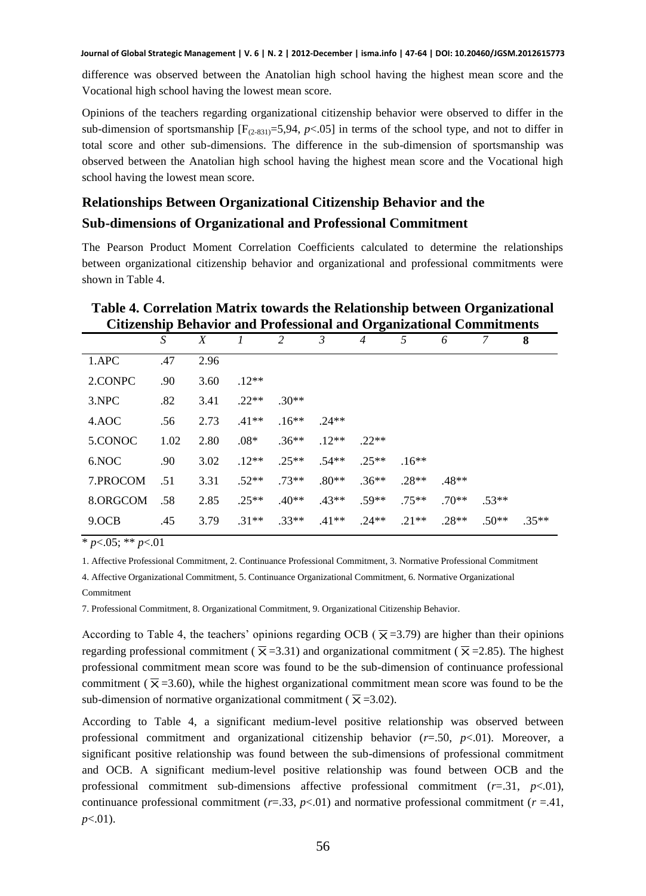difference was observed between the Anatolian high school having the highest mean score and the Vocational high school having the lowest mean score.

Opinions of the teachers regarding organizational citizenship behavior were observed to differ in the sub-dimension of sportsmanship  $[F_{(2,831)}=5,94, p<.05]$  in terms of the school type, and not to differ in total score and other sub-dimensions. The difference in the sub-dimension of sportsmanship was observed between the Anatolian high school having the highest mean score and the Vocational high school having the lowest mean score.

## **Relationships Between Organizational Citizenship Behavior and the Sub-dimensions of Organizational and Professional Commitment**

The Pearson Product Moment Correlation Coefficients calculated to determine the relationships between organizational citizenship behavior and organizational and professional commitments were shown in Table 4.

| Chizensinp Denavior and I rolessional and Organizational Communicities |      |      |         |         |         |                |          |         |         |         |
|------------------------------------------------------------------------|------|------|---------|---------|---------|----------------|----------|---------|---------|---------|
|                                                                        | S    | X    |         | 2       | 3       | $\overline{4}$ | 5        | 6       |         | 8       |
| 1.APC                                                                  | .47  | 2.96 |         |         |         |                |          |         |         |         |
| 2.CONPC                                                                | .90  | 3.60 | $.12**$ |         |         |                |          |         |         |         |
| 3.NPC                                                                  | .82  | 3.41 | $.22**$ | $.30**$ |         |                |          |         |         |         |
| 4.AOC                                                                  | .56  | 2.73 | $.41**$ | $.16**$ | $.24**$ |                |          |         |         |         |
| 5.CONOC                                                                | 1.02 | 2.80 | $.08*$  | $.36**$ | $.12**$ | $22**$         |          |         |         |         |
| 6.NOC                                                                  | .90  | 3.02 | $.12**$ | $.25**$ | $.54**$ | $.25**$        | $.16**$  |         |         |         |
| 7.PROCOM                                                               | .51  | 3.31 | $.52**$ | $.73**$ | $.80**$ | $.36**$        | $.28**$  | $.48**$ |         |         |
| 8.ORGCOM                                                               | .58  | 2.85 | $.25**$ | $.40**$ | $.43**$ | $.59**$        | $.75***$ | $.70**$ | $53**$  |         |
| 9.OCB                                                                  | .45  | 3.79 | $.31**$ | $.33**$ | $.41**$ | $.24***$       | $.21**$  | $.28**$ | $.50**$ | $.35**$ |
|                                                                        |      |      |         |         |         |                |          |         |         |         |

### **Table 4. Correlation Matrix towards the Relationship between Organizational Citizenship Behavior and Professional and Organizational Commitments**

\* *p*<.05; \*\* *p*<.01

1. Affective Professional Commitment, 2. Continuance Professional Commitment, 3. Normative Professional Commitment

4. Affective Organizational Commitment, 5. Continuance Organizational Commitment, 6. Normative Organizational

Commitment

7. Professional Commitment, 8. Organizational Commitment, 9. Organizational Citizenship Behavior.

According to Table 4, the teachers' opinions regarding OCB ( $\bar{x}$ =3.79) are higher than their opinions regarding professional commitment ( $\bar{x}$ =3.31) and organizational commitment ( $\bar{x}$ =2.85). The highest professional commitment mean score was found to be the sub-dimension of continuance professional commitment ( $\bar{x}$ =3.60), while the highest organizational commitment mean score was found to be the sub-dimension of normative organizational commitment ( $\overline{\mathbf{X}}$ =3.02).

According to Table 4, a significant medium-level positive relationship was observed between professional commitment and organizational citizenship behavior (*r*=.50, *p*<.01). Moreover, a significant positive relationship was found between the sub-dimensions of professional commitment and OCB. A significant medium-level positive relationship was found between OCB and the professional commitment sub-dimensions affective professional commitment (*r*=.31, *p*<.01), continuance professional commitment  $(r=33, p<0.01)$  and normative professional commitment  $(r=.41,$ *p*<.01).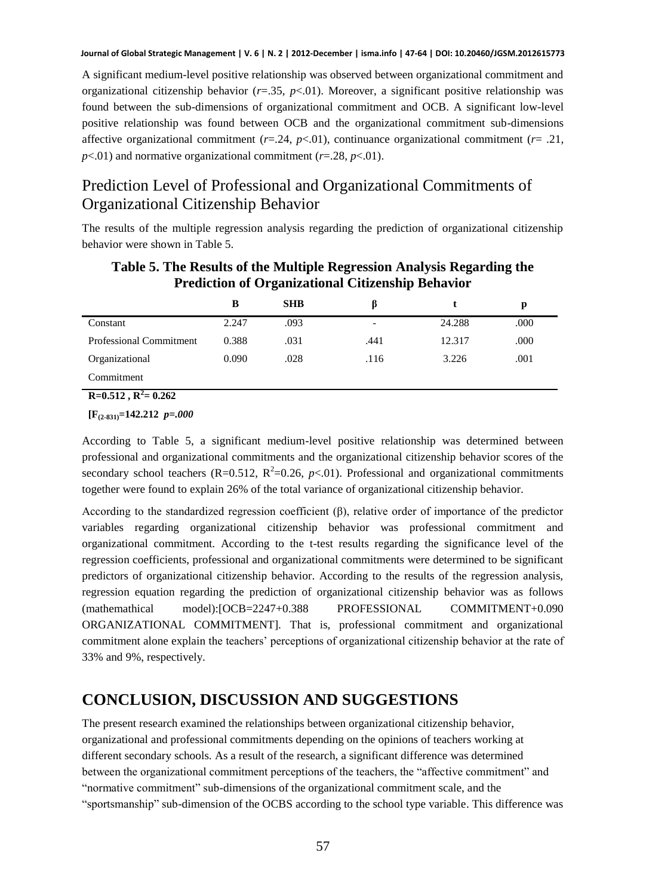A significant medium-level positive relationship was observed between organizational commitment and organizational citizenship behavior  $(r=.35, p<.01)$ . Moreover, a significant positive relationship was found between the sub-dimensions of organizational commitment and OCB. A significant low-level positive relationship was found between OCB and the organizational commitment sub-dimensions affective organizational commitment  $(r=.24, p<.01)$ , continuance organizational commitment  $(r=.21,$  $p<01$ ) and normative organizational commitment ( $r=28$ ,  $p<01$ ).

## Prediction Level of Professional and Organizational Commitments of Organizational Citizenship Behavior

The results of the multiple regression analysis regarding the prediction of organizational citizenship behavior were shown in Table 5.

| Table 5. The Results of the Multiple Regression Analysis Regarding the |
|------------------------------------------------------------------------|
| <b>Prediction of Organizational Citizenship Behavior</b>               |

|                                | в     | <b>SHB</b> |                          |        | p    |
|--------------------------------|-------|------------|--------------------------|--------|------|
| Constant                       | 2.247 | .093       | $\overline{\phantom{0}}$ | 24.288 | .000 |
| <b>Professional Commitment</b> | 0.388 | .031       | .441                     | 12.317 | .000 |
| Organizational                 | 0.090 | .028       | .116                     | 3.226  | .001 |
| Commitment                     |       |            |                          |        |      |

 $R=0.512$ ,  $R^2=0.262$ 

**[F(2-831)=142.212** *p=.000*

According to Table 5, a significant medium-level positive relationship was determined between professional and organizational commitments and the organizational citizenship behavior scores of the secondary school teachers (R=0.512, R<sup>2</sup>=0.26,  $p<.01$ ). Professional and organizational commitments together were found to explain 26% of the total variance of organizational citizenship behavior.

According to the standardized regression coefficient (β), relative order of importance of the predictor variables regarding organizational citizenship behavior was professional commitment and organizational commitment. According to the t-test results regarding the significance level of the regression coefficients, professional and organizational commitments were determined to be significant predictors of organizational citizenship behavior. According to the results of the regression analysis, regression equation regarding the prediction of organizational citizenship behavior was as follows (mathemathical model):[OCB=2247+0.388 PROFESSIONAL COMMITMENT+0.090 ORGANIZATIONAL COMMITMENT]. That is, professional commitment and organizational commitment alone explain the teachers' perceptions of organizational citizenship behavior at the rate of 33% and 9%, respectively.

## **CONCLUSION, DISCUSSION AND SUGGESTIONS**

The present research examined the relationships between organizational citizenship behavior, organizational and professional commitments depending on the opinions of teachers working at different secondary schools. As a result of the research, a significant difference was determined between the organizational commitment perceptions of the teachers, the "affective commitment" and "normative commitment" sub-dimensions of the organizational commitment scale, and the "sportsmanship" sub-dimension of the OCBS according to the school type variable. This difference was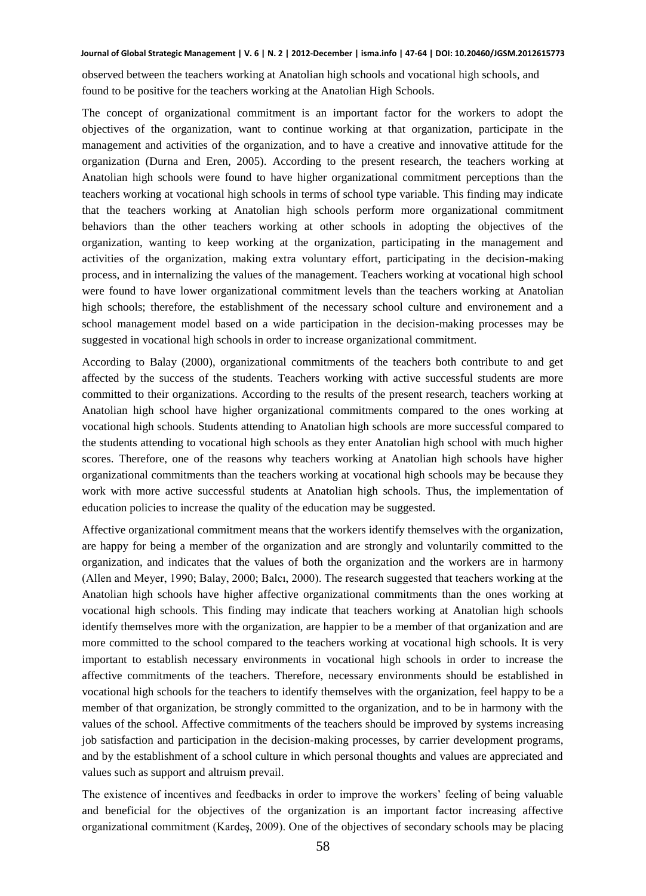observed between the teachers working at Anatolian high schools and vocational high schools, and found to be positive for the teachers working at the Anatolian High Schools.

The concept of organizational commitment is an important factor for the workers to adopt the objectives of the organization, want to continue working at that organization, participate in the management and activities of the organization, and to have a creative and innovative attitude for the organization (Durna and Eren, 2005). According to the present research, the teachers working at Anatolian high schools were found to have higher organizational commitment perceptions than the teachers working at vocational high schools in terms of school type variable. This finding may indicate that the teachers working at Anatolian high schools perform more organizational commitment behaviors than the other teachers working at other schools in adopting the objectives of the organization, wanting to keep working at the organization, participating in the management and activities of the organization, making extra voluntary effort, participating in the decision-making process, and in internalizing the values of the management. Teachers working at vocational high school were found to have lower organizational commitment levels than the teachers working at Anatolian high schools; therefore, the establishment of the necessary school culture and environement and a school management model based on a wide participation in the decision-making processes may be suggested in vocational high schools in order to increase organizational commitment.

According to Balay (2000), organizational commitments of the teachers both contribute to and get affected by the success of the students. Teachers working with active successful students are more committed to their organizations. According to the results of the present research, teachers working at Anatolian high school have higher organizational commitments compared to the ones working at vocational high schools. Students attending to Anatolian high schools are more successful compared to the students attending to vocational high schools as they enter Anatolian high school with much higher scores. Therefore, one of the reasons why teachers working at Anatolian high schools have higher organizational commitments than the teachers working at vocational high schools may be because they work with more active successful students at Anatolian high schools. Thus, the implementation of education policies to increase the quality of the education may be suggested.

Affective organizational commitment means that the workers identify themselves with the organization, are happy for being a member of the organization and are strongly and voluntarily committed to the organization, and indicates that the values of both the organization and the workers are in harmony (Allen and Meyer, 1990; Balay, 2000; Balcı, 2000). The research suggested that teachers working at the Anatolian high schools have higher affective organizational commitments than the ones working at vocational high schools. This finding may indicate that teachers working at Anatolian high schools identify themselves more with the organization, are happier to be a member of that organization and are more committed to the school compared to the teachers working at vocational high schools. It is very important to establish necessary environments in vocational high schools in order to increase the affective commitments of the teachers. Therefore, necessary environments should be established in vocational high schools for the teachers to identify themselves with the organization, feel happy to be a member of that organization, be strongly committed to the organization, and to be in harmony with the values of the school. Affective commitments of the teachers should be improved by systems increasing job satisfaction and participation in the decision-making processes, by carrier development programs, and by the establishment of a school culture in which personal thoughts and values are appreciated and values such as support and altruism prevail.

The existence of incentives and feedbacks in order to improve the workers' feeling of being valuable and beneficial for the objectives of the organization is an important factor increasing affective organizational commitment (Kardeş, 2009). One of the objectives of secondary schools may be placing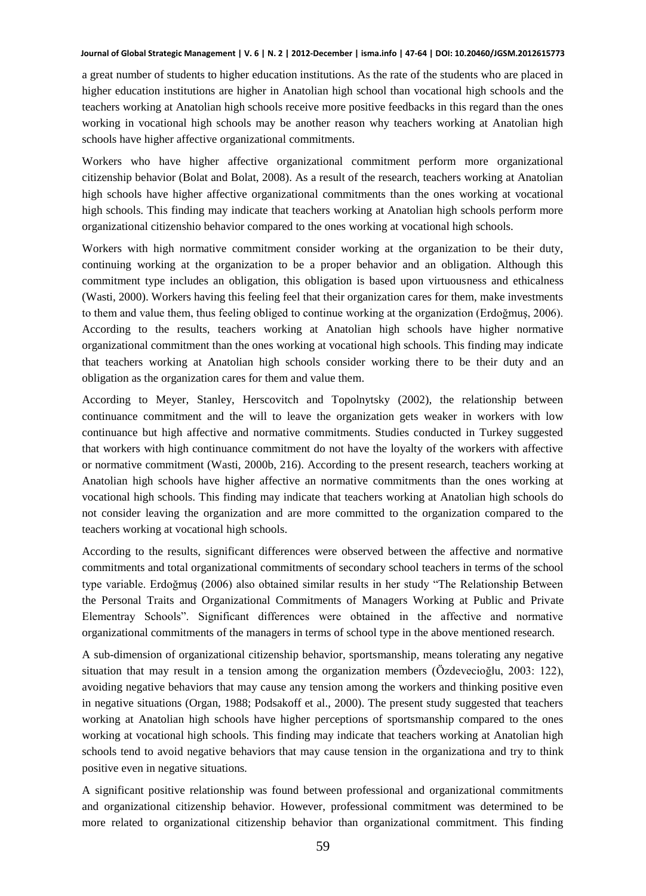a great number of students to higher education institutions. As the rate of the students who are placed in higher education institutions are higher in Anatolian high school than vocational high schools and the teachers working at Anatolian high schools receive more positive feedbacks in this regard than the ones working in vocational high schools may be another reason why teachers working at Anatolian high schools have higher affective organizational commitments.

Workers who have higher affective organizational commitment perform more organizational citizenship behavior (Bolat and Bolat, 2008). As a result of the research, teachers working at Anatolian high schools have higher affective organizational commitments than the ones working at vocational high schools. This finding may indicate that teachers working at Anatolian high schools perform more organizational citizenshio behavior compared to the ones working at vocational high schools.

Workers with high normative commitment consider working at the organization to be their duty, continuing working at the organization to be a proper behavior and an obligation. Although this commitment type includes an obligation, this obligation is based upon virtuousness and ethicalness (Wasti, 2000). Workers having this feeling feel that their organization cares for them, make investments to them and value them, thus feeling obliged to continue working at the organization (Erdoğmuş, 2006). According to the results, teachers working at Anatolian high schools have higher normative organizational commitment than the ones working at vocational high schools. This finding may indicate that teachers working at Anatolian high schools consider working there to be their duty and an obligation as the organization cares for them and value them.

According to Meyer, Stanley, Herscovitch and Topolnytsky (2002), the relationship between continuance commitment and the will to leave the organization gets weaker in workers with low continuance but high affective and normative commitments. Studies conducted in Turkey suggested that workers with high continuance commitment do not have the loyalty of the workers with affective or normative commitment (Wasti, 2000b, 216). According to the present research, teachers working at Anatolian high schools have higher affective an normative commitments than the ones working at vocational high schools. This finding may indicate that teachers working at Anatolian high schools do not consider leaving the organization and are more committed to the organization compared to the teachers working at vocational high schools.

According to the results, significant differences were observed between the affective and normative commitments and total organizational commitments of secondary school teachers in terms of the school type variable. Erdoğmuş (2006) also obtained similar results in her study "The Relationship Between the Personal Traits and Organizational Commitments of Managers Working at Public and Private Elementray Schools". Significant differences were obtained in the affective and normative organizational commitments of the managers in terms of school type in the above mentioned research.

A sub-dimension of organizational citizenship behavior, sportsmanship, means tolerating any negative situation that may result in a tension among the organization members (Özdevecioğlu, 2003: 122), avoiding negative behaviors that may cause any tension among the workers and thinking positive even in negative situations (Organ, 1988; Podsakoff et al., 2000). The present study suggested that teachers working at Anatolian high schools have higher perceptions of sportsmanship compared to the ones working at vocational high schools. This finding may indicate that teachers working at Anatolian high schools tend to avoid negative behaviors that may cause tension in the organizationa and try to think positive even in negative situations.

A significant positive relationship was found between professional and organizational commitments and organizational citizenship behavior. However, professional commitment was determined to be more related to organizational citizenship behavior than organizational commitment. This finding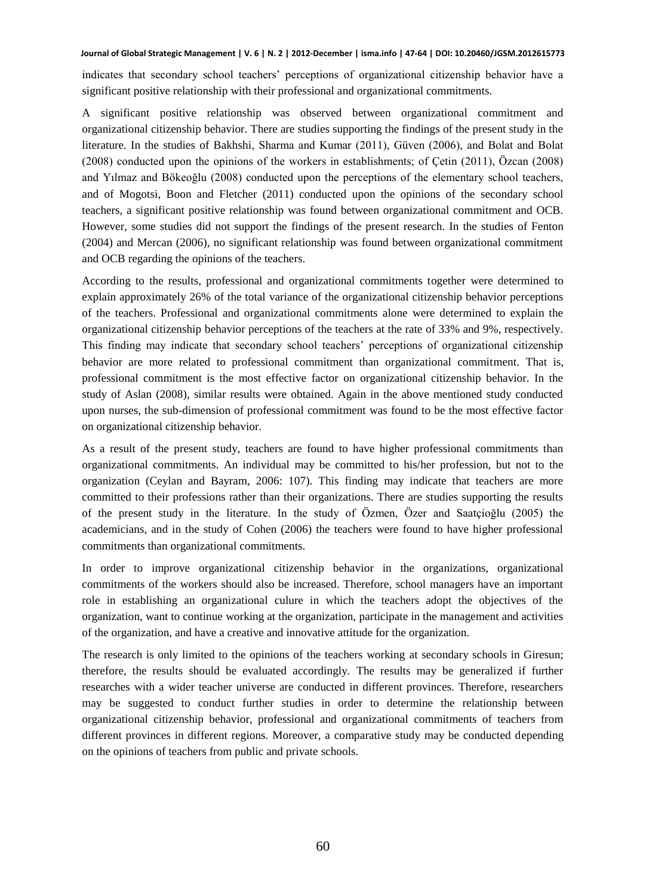indicates that secondary school teachers' perceptions of organizational citizenship behavior have a significant positive relationship with their professional and organizational commitments.

A significant positive relationship was observed between organizational commitment and organizational citizenship behavior. There are studies supporting the findings of the present study in the literature. In the studies of Bakhshi, Sharma and Kumar (2011), Güven (2006), and Bolat and Bolat (2008) conducted upon the opinions of the workers in establishments; of Çetin (2011), Özcan (2008) and Yılmaz and Bökeoğlu (2008) conducted upon the perceptions of the elementary school teachers, and of Mogotsi, Boon and Fletcher (2011) conducted upon the opinions of the secondary school teachers, a significant positive relationship was found between organizational commitment and OCB. However, some studies did not support the findings of the present research. In the studies of Fenton (2004) and Mercan (2006), no significant relationship was found between organizational commitment and OCB regarding the opinions of the teachers.

According to the results, professional and organizational commitments together were determined to explain approximately 26% of the total variance of the organizational citizenship behavior perceptions of the teachers. Professional and organizational commitments alone were determined to explain the organizational citizenship behavior perceptions of the teachers at the rate of 33% and 9%, respectively. This finding may indicate that secondary school teachers' perceptions of organizational citizenship behavior are more related to professional commitment than organizational commitment. That is, professional commitment is the most effective factor on organizational citizenship behavior. In the study of Aslan (2008), similar results were obtained. Again in the above mentioned study conducted upon nurses, the sub-dimension of professional commitment was found to be the most effective factor on organizational citizenship behavior.

As a result of the present study, teachers are found to have higher professional commitments than organizational commitments. An individual may be committed to his/her profession, but not to the organization (Ceylan and Bayram, 2006: 107). This finding may indicate that teachers are more committed to their professions rather than their organizations. There are studies supporting the results of the present study in the literature. In the study of Özmen, Özer and Saatçioğlu (2005) the academicians, and in the study of Cohen (2006) the teachers were found to have higher professional commitments than organizational commitments.

In order to improve organizational citizenship behavior in the organizations, organizational commitments of the workers should also be increased. Therefore, school managers have an important role in establishing an organizational culure in which the teachers adopt the objectives of the organization, want to continue working at the organization, participate in the management and activities of the organization, and have a creative and innovative attitude for the organization.

The research is only limited to the opinions of the teachers working at secondary schools in Giresun; therefore, the results should be evaluated accordingly. The results may be generalized if further researches with a wider teacher universe are conducted in different provinces. Therefore, researchers may be suggested to conduct further studies in order to determine the relationship between organizational citizenship behavior, professional and organizational commitments of teachers from different provinces in different regions. Moreover, a comparative study may be conducted depending on the opinions of teachers from public and private schools.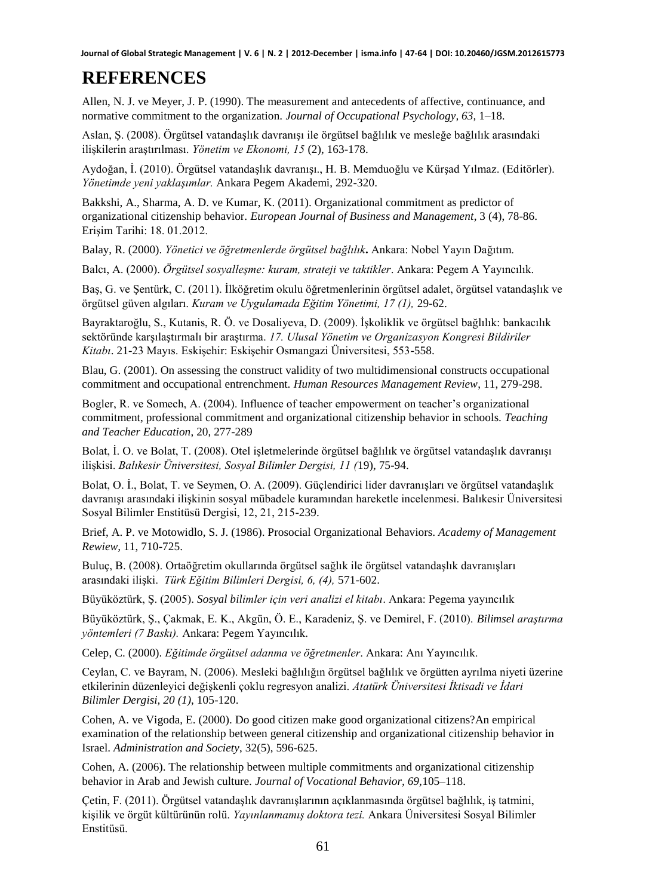## **REFERENCES**

Allen, N. J. ve Meyer, J. P. (1990). The measurement and antecedents of affective, continuance, and normative commitment to the organization. *Journal of Occupational Psychology, 63,* 1–18.

Aslan, Ş. (2008). Örgütsel vatandaşlık davranışı ile örgütsel bağlılık ve mesleğe bağlılık arasındaki ilişkilerin araştırılması. *Yönetim ve Ekonomi, 15* (2), 163-178.

Aydoğan, İ. (2010). Örgütsel vatandaşlık davranışı., H. B. Memduoğlu ve Kürşad Yılmaz. (Editörler). *Yönetimde yeni yaklaşımlar.* Ankara Pegem Akademi, 292-320.

Bakkshi, A., Sharma, A. D. ve Kumar, K. (2011). Organizational commitment as predictor of organizational citizenship behavior. *European Journal of Business and Management*, 3 (4), 78-86. Erişim Tarihi: 18. 01.2012.

Balay, R. (2000). *Yönetici ve öğretmenlerde örgütsel bağlılık***.** Ankara: Nobel Yayın Dağıtım.

Balcı, A. (2000). *Örgütsel sosyalleşme: kuram, strateji ve taktikler*. Ankara: Pegem A Yayıncılık.

Baş, G. ve Şentürk, C. (2011). İlköğretim okulu öğretmenlerinin örgütsel adalet, örgütsel vatandaşlık ve örgütsel güven algıları. *Kuram ve Uygulamada Eğitim Yönetimi, 17 (1),* 29-62.

Bayraktaroğlu, S., Kutanis, R. Ö. ve Dosaliyeva, D. (2009). İşkoliklik ve örgütsel bağlılık: bankacılık sektöründe karşılaştırmalı bir araştırma. *17. Ulusal Yönetim ve Organizasyon Kongresi Bildiriler Kitabı*. 21-23 Mayıs. Eskişehir: Eskişehir Osmangazi Üniversitesi, 553-558.

Blau, G. (2001). On assessing the construct validity of two multidimensional constructs occupational commitment and occupational entrenchment. *Human Resources Management Review*, 11, 279-298.

Bogler, R. ve Somech, A. (2004). Influence of teacher empowerment on teacher's organizational commitment, professional commitment and organizational citizenship behavior in schools. *Teaching and Teacher Education*, 20, 277-289

Bolat, İ. O. ve Bolat, T. (2008). Otel işletmelerinde örgütsel bağlılık ve örgütsel vatandaşlık davranışı ilişkisi. *Balıkesir Üniversitesi, Sosyal Bilimler Dergisi, 11 (*19), 75-94.

Bolat, O. İ., Bolat, T. ve Seymen, O. A. (2009). Güçlendirici lider davranışları ve örgütsel vatandaşlık davranışı arasındaki ilişkinin sosyal mübadele kuramından hareketle incelenmesi. Balıkesir Üniversitesi Sosyal Bilimler Enstitüsü Dergisi, 12, 21, 215-239.

Brief, A. P. ve Motowidlo, S. J. (1986). Prosocial Organizational Behaviors. *Academy of Management Rewiew,* 11, 710-725.

Buluç, B. (2008). Ortaöğretim okullarında örgütsel sağlık ile örgütsel vatandaşlık davranışları arasındaki ilişki. *Türk Eğitim Bilimleri Dergisi, 6, (4),* 571-602.

Büyüköztürk, Ş. (2005). *Sosyal bilimler için veri analizi el kitabı*. Ankara: Pegema yayıncılık

Büyüköztürk, Ş., Çakmak, E. K., Akgün, Ö. E., Karadeniz, Ş. ve Demirel, F. (2010). *Bilimsel araştırma yöntemleri (7 Baskı).* Ankara: Pegem Yayıncılık.

Celep, C. (2000). *Eğitimde örgütsel adanma ve öğretmenler*. Ankara: Anı Yayıncılık.

Ceylan, C. ve Bayram, N. (2006). Mesleki bağlılığın örgütsel bağlılık ve örgütten ayrılma niyeti üzerine etkilerinin düzenleyici değişkenli çoklu regresyon analizi. *Atatürk Üniversitesi İktisadi ve İdari Bilimler Dergisi, 20 (1)*, 105-120.

Cohen, A. ve Vigoda, E. (2000). Do good citizen make good organizational citizens?An empirical examination of the relationship between general citizenship and organizational citizenship behavior in Israel. *Administration and Society*, 32(5), 596-625.

Cohen, A. (2006). The relationship between multiple commitments and organizational citizenship behavior in Arab and Jewish culture. *Journal of Vocational Behavior, 69,*105–118.

Çetin, F. (2011). Örgütsel vatandaşlık davranışlarının açıklanmasında örgütsel bağlılık, iş tatmini, kişilik ve örgüt kültürünün rolü. *Yayınlanmamış doktora tezi.* Ankara Üniversitesi Sosyal Bilimler Enstitüsü.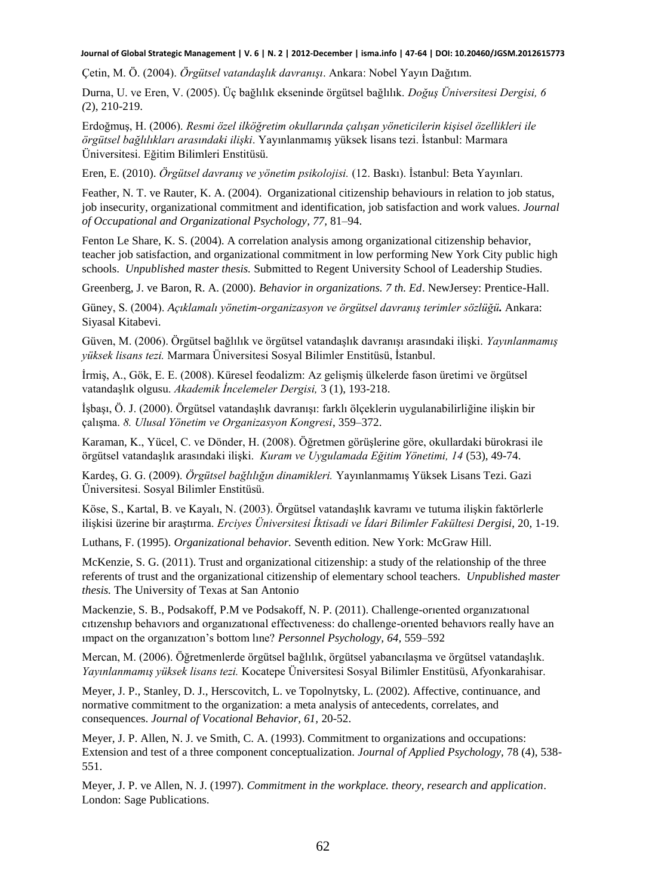Çetin, M. Ö. (2004). *Örgütsel vatandaşlık davranışı*. Ankara: Nobel Yayın Dağıtım.

Durna, U. ve Eren, V. (2005). Üç bağlılık ekseninde örgütsel bağlılık. *Doğuş Üniversitesi Dergisi, 6 (*2), 210-219.

Erdoğmuş, H. (2006). *Resmi özel ilköğretim okullarında çalışan yöneticilerin kişisel özellikleri ile örgütsel bağlılıkları arasındaki ilişki*. Yayınlanmamış yüksek lisans tezi. İstanbul: Marmara Üniversitesi. Eğitim Bilimleri Enstitüsü.

Eren, E. (2010). *Örgütsel davranış ve yönetim psikolojisi.* (12. Baskı). İstanbul: Beta Yayınları.

Feather, N. T. ve Rauter, K. A. (2004). Organizational citizenship behaviours in relation to job status, job insecurity, organizational commitment and identification, job satisfaction and work values. *Journal of Occupational and Organizational Psychology, 77,* 81–94.

Fenton Le Share, K. S. (2004). A correlation analysis among organizational citizenship behavior, teacher job satisfaction, and organizational commitment in low performing New York City public high schools. *Unpublished master thesis.* Submitted to Regent University School of Leadership Studies.

Greenberg, J. ve Baron, R. A. (2000). *Behavior in organizations. 7 th. Ed*. NewJersey: Prentice-Hall.

Güney, S. (2004). *Açıklamalı yönetim-organizasyon ve örgütsel davranış terimler sözlüğü.* Ankara: Siyasal Kitabevi.

Güven, M. (2006). Örgütsel bağlılık ve örgütsel vatandaşlık davranışı arasındaki ilişki. *Yayınlanmamış yüksek lisans tezi.* Marmara Üniversitesi Sosyal Bilimler Enstitüsü, İstanbul.

İrmiş, A., Gök, E. E. (2008). Küresel feodalizm: Az gelişmiş ülkelerde fason üretimi ve örgütsel vatandaşlık olgusu. *Akademik İncelemeler Dergisi,* 3 (1), 193-218.

İşbaşı, Ö. J. (2000). Örgütsel vatandaşlık davranışı: farklı ölçeklerin uygulanabilirliğine ilişkin bir çalışma. *8. Ulusal Yönetim ve Organizasyon Kongresi*, 359–372.

Karaman, K., Yücel, C. ve Dönder, H. (2008). Öğretmen görüşlerine göre, okullardaki bürokrasi ile örgütsel vatandaşlık arasındaki ilişki. *Kuram ve Uygulamada Eğitim Yönetimi, 14* (53), 49-74.

Kardeş, G. G. (2009). *Örgütsel bağlılığın dinamikleri.* Yayınlanmamış Yüksek Lisans Tezi. Gazi Üniversitesi. Sosyal Bilimler Enstitüsü.

Köse, S., Kartal, B. ve Kayalı, N. (2003). Örgütsel vatandaşlık kavramı ve tutuma ilişkin faktörlerle ilişkisi üzerine bir araştırma. *Erciyes Üniversitesi İktisadi ve İdari Bilimler Fakültesi Dergisi*, 20, 1-19.

Luthans, F. (1995). *Organizational behavior.* Seventh edition. New York: McGraw Hill.

McKenzie, S. G. (2011). Trust and organizational citizenship: a study of the relationship of the three referents of trust and the organizational citizenship of elementary school teachers. *Unpublished master thesis.* The University of Texas at San Antonio

Mackenzie, S. B., Podsakoff, P.M ve Podsakoff, N. P. (2011). Challenge-orıented organızatıonal cıtızenshıp behavıors and organızatıonal effectıveness: do challenge-orıented behavıors really have an ımpact on the organızatıon's bottom lıne? *Personnel Psychology, 64,* 559–592

Mercan, M. (2006). Öğretmenlerde örgütsel bağlılık, örgütsel yabancılaşma ve örgütsel vatandaşlık. *Yayınlanmamış yüksek lisans tezi.* Kocatepe Üniversitesi Sosyal Bilimler Enstitüsü, Afyonkarahisar.

Meyer, J. P., Stanley, D. J., Herscovitch, L. ve Topolnytsky, L. (2002). Affective, continuance, and normative commitment to the organization: a meta analysis of antecedents, correlates, and consequences. *Journal of Vocational Behavior, 61,* 20-52.

Meyer, J. P. Allen, N. J. ve Smith, C. A. (1993). Commitment to organizations and occupations: Extension and test of a three component conceptualization. *Journal of Applied Psychology,* 78 (4), 538- 551.

Meyer, J. P. ve Allen, N. J. (1997). *Commitment in the workplace. theory, research and application*. London: Sage Publications.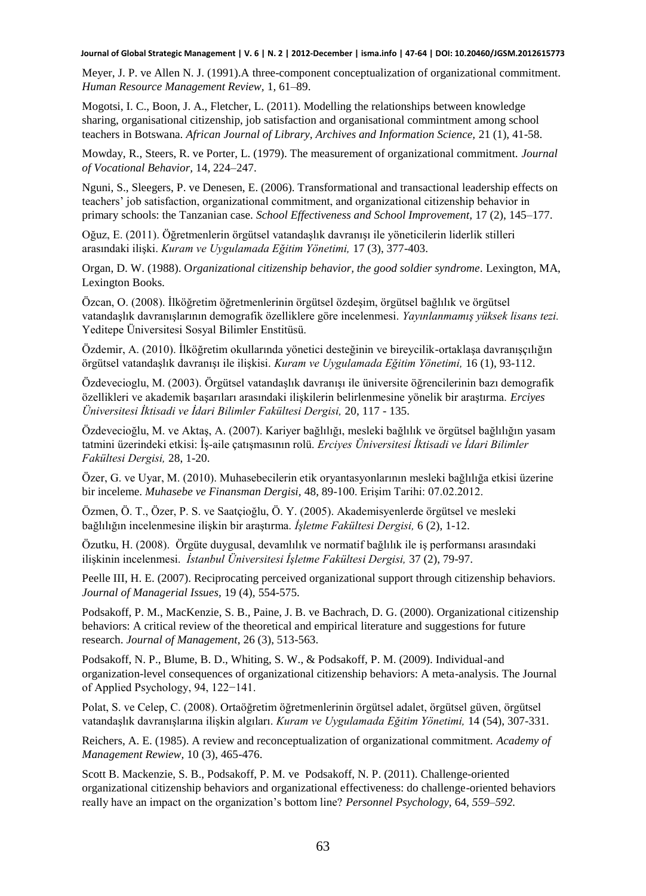Meyer, J. P. ve Allen N. J. (1991).A three-component conceptualization of organizational commitment. *Human Resource Management Review,* 1*,* 61–89.

Mogotsi, I. C., Boon, J. A., Fletcher, L. (2011). Modelling the relationships between knowledge sharing, organisational citizenship, job satisfaction and organisational commintment among school teachers in Botswana. *African Journal of Library, Archives and Information Science,* 21 (1), 41-58.

Mowday, R., Steers, R. ve Porter, L. (1979). The measurement of organizational commitment. *Journal of Vocational Behavior,* 14, 224–247.

Nguni, S., Sleegers, P. ve Denesen, E. (2006). Transformational and transactional leadership effects on teachers' job satisfaction, organizational commitment, and organizational citizenship behavior in primary schools: the Tanzanian case. *School Effectiveness and School Improvement,* 17 (2), 145–177.

Oğuz, E. (2011). Öğretmenlerin örgütsel vatandaşlık davranışı ile yöneticilerin liderlik stilleri arasındaki ilişki. *Kuram ve Uygulamada Eğitim Yönetimi,* 17 (3), 377-403.

Organ, D. W. (1988). O*rganizational citizenship behavior, the good soldier syndrome.* Lexington, MA, Lexington Books.

Özcan, O. (2008). İlköğretim öğretmenlerinin örgütsel özdeşim, örgütsel bağlılık ve örgütsel vatandaşlık davranışlarının demografik özelliklere göre incelenmesi. *Yayınlanmamış yüksek lisans tezi.*  Yeditepe Üniversitesi Sosyal Bilimler Enstitüsü.

Özdemir, A. (2010). İlköğretim okullarında yönetici desteğinin ve bireycilik-ortaklaşa davranışçılığın örgütsel vatandaşlık davranışı ile ilişkisi. *Kuram ve Uygulamada Eğitim Yönetimi,* 16 (1), 93-112.

Özdevecioglu, M. (2003). Örgütsel vatandaşlık davranışı ile üniversite öğrencilerinin bazı demografik özellikleri ve akademik başarıları arasındaki ilişkilerin belirlenmesine yönelik bir araştırma. *Erciyes Üniversitesi İktisadi ve İdari Bilimler Fakültesi Dergisi,* 20*,* 117 - 135.

Özdevecioğlu, M. ve Aktaş, A. (2007). Kariyer bağlılığı, mesleki bağlılık ve örgütsel bağlılığın yasam tatmini üzerindeki etkisi: İş-aile çatışmasının rolü. *Erciyes Üniversitesi İktisadi ve İdari Bilimler Fakültesi Dergisi,* 28, 1-20.

Özer, G. ve Uyar, M. (2010). Muhasebecilerin etik oryantasyonlarının mesleki bağlılığa etkisi üzerine bir inceleme. *Muhasebe ve Finansman Dergisi,* 48, 89-100. Erişim Tarihi: 07.02.2012.

Özmen, Ö. T., Özer, P. S. ve Saatçioğlu, Ö. Y. (2005). Akademisyenlerde örgütsel ve mesleki bağlılığın incelenmesine ilişkin bir araştırma. *İşletme Fakültesi Dergisi,* 6 (2), 1-12.

Özutku, H. (2008). Örgüte duygusal, devamlılık ve normatif bağlılık ile iş performansı arasındaki ilişkinin incelenmesi. *İstanbul Üniversitesi İşletme Fakültesi Dergisi,* 37 (2), 79-97.

Peelle III, H. E. (2007). Reciprocating perceived organizational support through citizenship behaviors. *Journal of Managerial Issues,* 19 (4)*,* 554-575.

Podsakoff, P. M., MacKenzie, S. B., Paine, J. B. ve Bachrach, D. G. (2000). Organizational citizenship behaviors: A critical review of the theoretical and empirical literature and suggestions for future research. *Journal of Management*, 26 (3), 513-563.

Podsakoff, N. P., Blume, B. D., Whiting, S. W., & Podsakoff, P. M. (2009). Individual-and organization-level consequences of organizational citizenship behaviors: A meta-analysis. The Journal of Applied Psychology, 94, 122−141.

Polat, S. ve Celep, C. (2008). Ortaöğretim öğretmenlerinin örgütsel adalet, örgütsel güven, örgütsel vatandaşlık davranışlarına ilişkin algıları. *Kuram ve Uygulamada Eğitim Yönetimi,* 14 (54), 307-331.

Reichers, A. E. (1985). A review and reconceptualization of organizational commitment. *Academy of Management Rewiew,* 10 (3), 465-476.

Scott B. Mackenzie, S. B., Podsakoff, P. M. ve Podsakoff, N. P. (2011). Challenge-oriented organizational citizenship behaviors and organizational effectiveness: do challenge-oriented behaviors really have an impact on the organization's bottom line? *Personnel Psychology,* 64*, 559–592.*